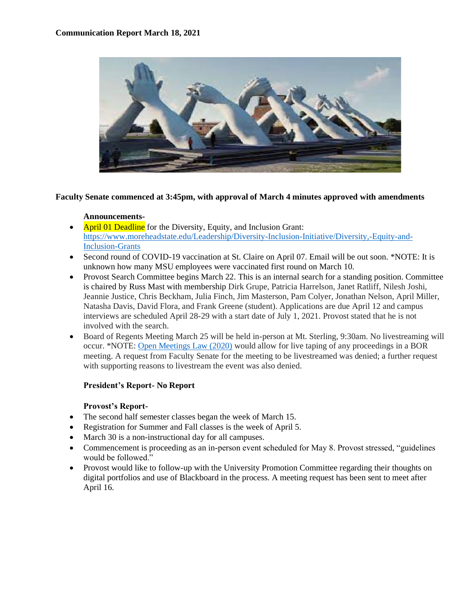

## **Faculty Senate commenced at 3:45pm, with approval of March 4 minutes approved with amendments**

## **Announcements-**

- April 01 Deadline for the Diversity, Equity, and Inclusion Grant: [https://www.moreheadstate.edu/Leadership/Diversity-Inclusion-Initiative/Diversity,-Equity-and-](https://www.moreheadstate.edu/Leadership/Diversity-Inclusion-Initiative/Diversity,-Equity-and-Inclusion-Grants)[Inclusion-Grants](https://www.moreheadstate.edu/Leadership/Diversity-Inclusion-Initiative/Diversity,-Equity-and-Inclusion-Grants)
- Second round of COVID-19 vaccination at St. Claire on April 07. Email will be out soon. \*NOTE: It is unknown how many MSU employees were vaccinated first round on March 10.
- Provost Search Committee begins March 22. This is an internal search for a standing position. Committee is chaired by Russ Mast with membership Dirk Grupe, Patricia Harrelson, Janet Ratliff, Nilesh Joshi, Jeannie Justice, Chris Beckham, Julia Finch, Jim Masterson, Pam Colyer, Jonathan Nelson, April Miller, Natasha Davis, David Flora, and Frank Greene (student). Applications are due April 12 and campus interviews are scheduled April 28-29 with a start date of July 1, 2021. Provost stated that he is not involved with the search.
- Board of Regents Meeting March 25 will be held in-person at Mt. Sterling, 9:30am. No livestreaming will occur. \*NOTE[: Open Meetings Law \(2020\)](https://ag.ky.gov/AG%20Publications/Open%20Records%20Open%20Meetings%20Act%20Guide%20per%20KRS%2015.257.pdf) would allow for live taping of any proceedings in a BOR meeting. A request from Faculty Senate for the meeting to be livestreamed was denied; a further request with supporting reasons to livestream the event was also denied.

# **President's Report- No Report**

# **Provost's Report-**

- The second half semester classes began the week of March 15.
- Registration for Summer and Fall classes is the week of April 5.
- March 30 is a non-instructional day for all campuses.
- Commencement is proceeding as an in-person event scheduled for May 8. Provost stressed, "guidelines" would be followed."
- Provost would like to follow-up with the University Promotion Committee regarding their thoughts on digital portfolios and use of Blackboard in the process. A meeting request has been sent to meet after April 16.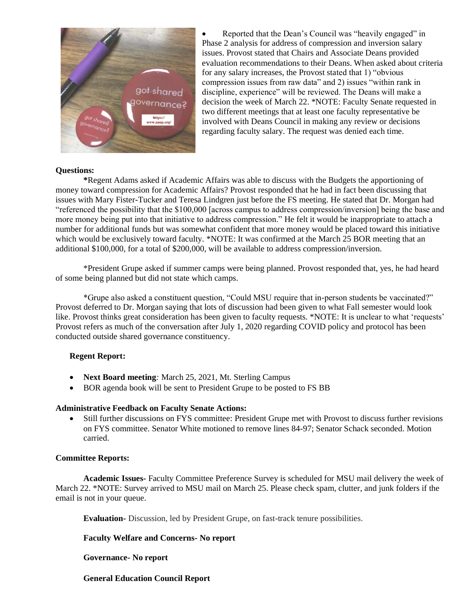

• Reported that the Dean's Council was "heavily engaged" in Phase 2 analysis for address of compression and inversion salary issues. Provost stated that Chairs and Associate Deans provided evaluation recommendations to their Deans. When asked about criteria for any salary increases, the Provost stated that 1) "obvious compression issues from raw data" and 2) issues "within rank in discipline, experience" will be reviewed. The Deans will make a decision the week of March 22. \*NOTE: Faculty Senate requested in two different meetings that at least one faculty representative be involved with Deans Council in making any review or decisions regarding faculty salary. The request was denied each time.

## **Questions:**

**\***Regent Adams asked if Academic Affairs was able to discuss with the Budgets the apportioning of money toward compression for Academic Affairs? Provost responded that he had in fact been discussing that issues with Mary Fister-Tucker and Teresa Lindgren just before the FS meeting. He stated that Dr. Morgan had "referenced the possibility that the \$100,000 [across campus to address compression/inversion] being the base and more money being put into that initiative to address compression." He felt it would be inappropriate to attach a number for additional funds but was somewhat confident that more money would be placed toward this initiative which would be exclusively toward faculty. \*NOTE: It was confirmed at the March 25 BOR meeting that an additional \$100,000, for a total of \$200,000, will be available to address compression/inversion.

\*President Grupe asked if summer camps were being planned. Provost responded that, yes, he had heard of some being planned but did not state which camps.

\*Grupe also asked a constituent question, "Could MSU require that in-person students be vaccinated?" Provost deferred to Dr. Morgan saying that lots of discussion had been given to what Fall semester would look like. Provost thinks great consideration has been given to faculty requests. \*NOTE: It is unclear to what 'requests' Provost refers as much of the conversation after July 1, 2020 regarding COVID policy and protocol has been conducted outside shared governance constituency.

### **Regent Report:**

- **Next Board meeting***:* March 25, 2021, Mt. Sterling Campus
- BOR agenda book will be sent to President Grupe to be posted to FS BB

### **Administrative Feedback on Faculty Senate Actions:**

• Still further discussions on FYS committee: President Grupe met with Provost to discuss further revisions on FYS committee. Senator White motioned to remove lines 84-97; Senator Schack seconded. Motion carried.

### **Committee Reports:**

**Academic Issues-** Faculty Committee Preference Survey is scheduled for MSU mail delivery the week of March 22. \*NOTE: Survey arrived to MSU mail on March 25. Please check spam, clutter, and junk folders if the email is not in your queue.

**Evaluation-** Discussion, led by President Grupe, on fast-track tenure possibilities.

## **Faculty Welfare and Concerns- No report**

## **Governance- No report**

## **General Education Council Report**